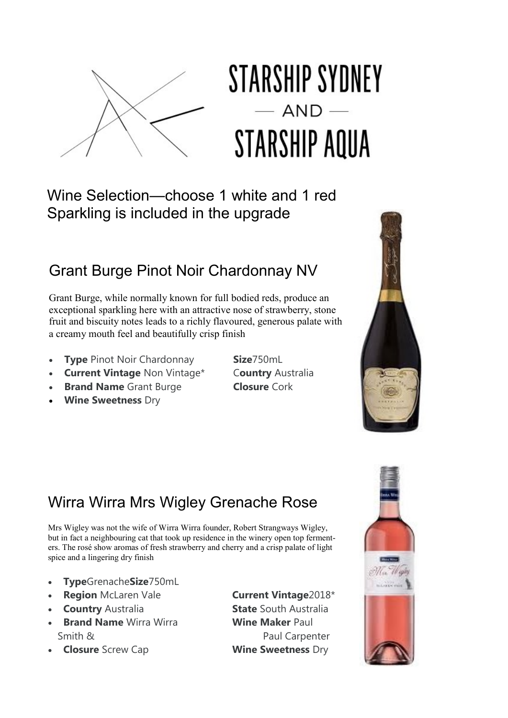

# STARSHIP SYDNEY  $-$  AND **STARSHIP AQUA**

Wine Selection—choose 1 white and 1 red Sparkling is included in the upgrade

#### Grant Burge Pinot Noir Chardonnay NV

Grant Burge, while normally known for full bodied reds, produce an exceptional sparkling here with an attractive nose of strawberry, stone fruit and biscuity notes leads to a richly flavoured, generous palate with a creamy mouth feel and beautifully crisp finish

- **Type** Pinot Noir Chardonnay **Size**750mL
- **Current Vintage** Non Vintage\* C**ountry** Australia
- **Brand Name** Grant Burge **Closure** Cork
- **Wine Sweetness** Dry
- 





Mrs Wigley was not the wife of Wirra Wirra founder, Robert Strangways Wigley, but in fact a neighbouring cat that took up residence in the winery open top fermenters. The rosé show aromas of fresh strawberry and cherry and a crisp palate of light spice and a lingering dry finish

- **Type**Grenache**Size**750mL
- **Region** McLaren Vale **Current Vintage**2018\*
- **Country** Australia **State** South Australia
- **Brand Name** Wirra Wirra **Wine Maker** Paul Smith & Paul Carpenter
- **Closure** Screw Cap **Wine Sweetness** Dry

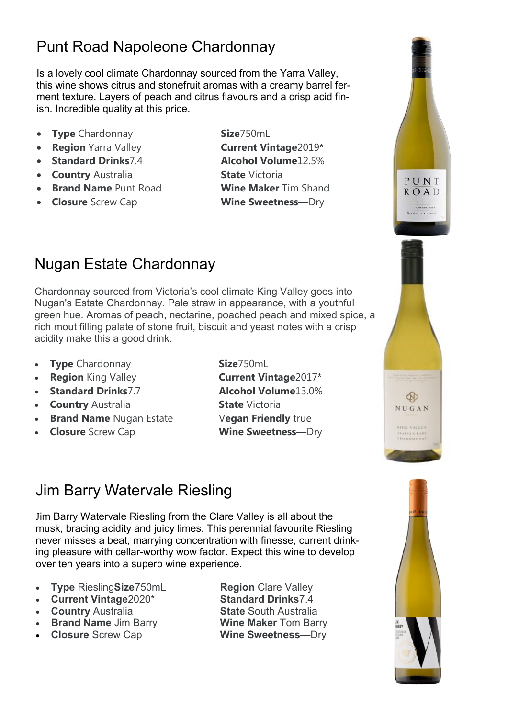### Punt Road Napoleone Chardonnay

Is a lovely cool climate Chardonnay sourced from the Yarra Valley, this wine shows citrus and stonefruit aromas with a creamy barrel ferment texture. Layers of peach and citrus flavours and a crisp acid finish. Incredible quality at this price.

- **Type** Chardonnay **Size**750mL
- **Region** Yarra Valley **Current Vintage**2019\*
- 
- **Country** Australia **State** Victoria
- **Brand Name** Punt Road **Wine Maker** Tim Shand
- **Closure** Screw Cap **Wine Sweetness—**Dry

**Standard Drinks**7.4 **Alcohol Volume**12.5%

#### Nugan Estate Chardonnay

Chardonnay sourced from Victoria's cool climate King Valley goes into Nugan's Estate Chardonnay. Pale straw in appearance, with a youthful green hue. Aromas of peach, nectarine, poached peach and mixed spice, a rich mout filling palate of stone fruit, biscuit and yeast notes with a crisp acidity make this a good drink.

- **Type** Chardonnay **Size**750mL
- 
- **Standard Drinks**7.7 **Alcohol Volume**13.0%
- **Country** Australia **State** Victoria
- **Brand Name** Nugan Estate V**egan Friendly** true
- 

 **Region** King Valley **Current Vintage**2017\* **Closure** Screw Cap **Wine Sweetness—**Dry

 $\bigcirc$ NUGAN KING VALLEY RASCA'S LANK<br>HARDONNAI

PUNT **ROAD** CHARDONNA

### Jim Barry Watervale Riesling

Jim Barry Watervale Riesling from the Clare Valley is all about the musk, bracing acidity and juicy limes. This perennial favourite Riesling never misses a beat, marrying concentration with finesse, current drinking pleasure with cellar-worthy wow factor. Expect this wine to develop over ten years into a superb wine experience.

- **Type RieslingSize750mL Region Clare Valley**
- **Current Vintage**2020\* **Standard Drinks**7.4
- 
- **Brand Name** Jim Barry **Wine Maker** Tom Barry
- **Closure** Screw Cap **Wine Sweetness—**Dry

**Country** Australia **State** South Australia

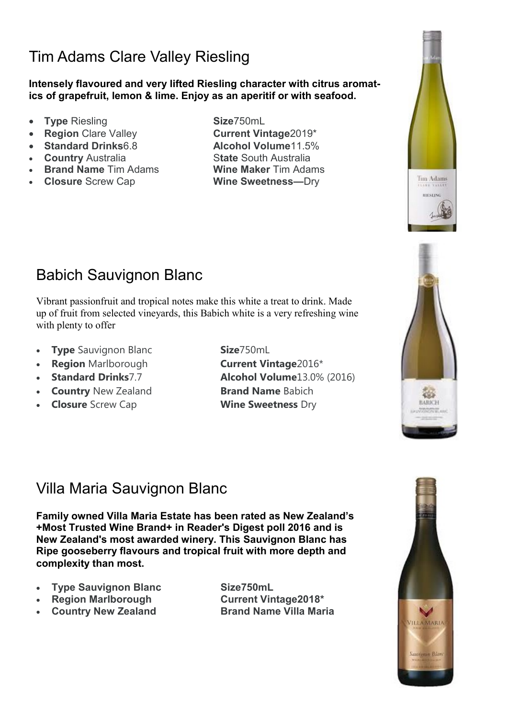### Tim Adams Clare Valley Riesling

**Intensely flavoured and very lifted Riesling character with citrus aromatics of grapefruit, lemon & lime. Enjoy as an aperitif or with seafood.** 

- **Type** Riesling **Size**750mL
- 
- **Standard Drinks**6.8 **Alcohol Volume**11.5%
- 
- **Brand Name** Tim Adams **Wine Maker** Tim Adams
- 

**Region Clare Valley <b>Current Vintage**2019\* • **Country** Australia **State** South Australia **Closure** Screw Cap **Wine Sweetness—**Dry





#### Babich Sauvignon Blanc

Vibrant passionfruit and tropical notes make this white a treat to drink. Made up of fruit from selected vineyards, this Babich white is a very refreshing wine with plenty to offer

- **Type** Sauvignon Blanc **Size**750mL
- **Region** Marlborough **Current Vintage**2016\*
- 
- **Country** New Zealand **Brand Name** Babich
- **Closure** Screw Cap **Wine Sweetness** Dry

**Standard Drinks**7.7 **Alcohol Volume**13.0% (2016)

#### Villa Maria Sauvignon Blanc

**Family owned Villa Maria Estate has been rated as New Zealand's +Most Trusted Wine Brand+ in Reader's Digest poll 2016 and is New Zealand's most awarded winery. This Sauvignon Blanc has Ripe gooseberry flavours and tropical fruit with more depth and complexity than most.** 

- **Type Sauvignon Blanc Size750mL**
- **Region Marlborough Current Vintage2018\***
- 

**• Country New Zealand Brand Name Villa Maria**